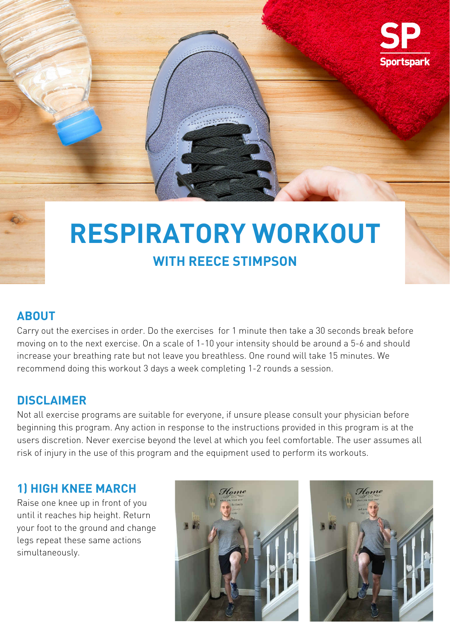#### **ABOUT**

Carry out the exercises in order. Do the exercises for 1 minute then take a 30 seconds break before

moving on to the next exercise. On a scale of 1-10 your intensity should be around a 5-6 and should increase your breathing rate but not leave you breathless. One round will take 15 minutes. We recommend doing this workout 3 days a week completing 1-2 rounds a session.

## **1) HIGH KNEE MARCH**

Raise one knee up in front of you until it reaches hip height. Return your foot to the ground and change legs repeat these same actions simultaneously.



#### **DISCLAIMER**

Not all exercise programs are suitable for everyone, if unsure please consult your physician before beginning this program. Any action in response to the instructions provided in this program is at the users discretion. Never exercise beyond the level at which you feel comfortable. The user assumes all risk of injury in the use of this program and the equipment used to perform its workouts.



# **RESPIRATORY WORKOUT WITH REECE STIMPSON**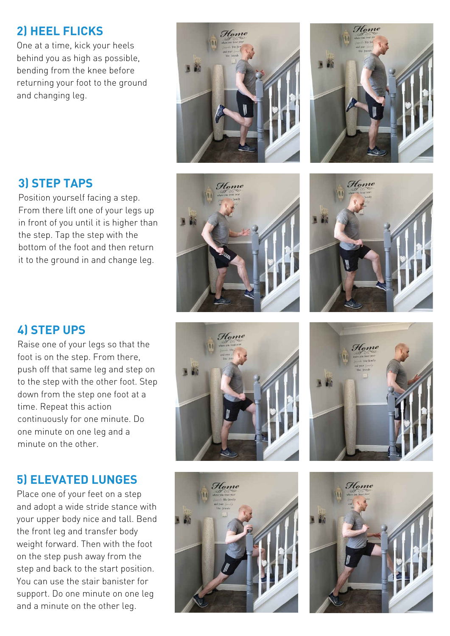## **3) STEP TAPS**

Position yourself facing a step. From there lift one of your legs up in front of you until it is higher than the step. Tap the step with the bottom of the foot and then return it to the ground in and change leg.





## **4) STEP UPS**

Home



Raise one of your legs so that the foot is on the step. From there, push off that same leg and step on to the step with the other foot. Step down from the step one foot at a time. Repeat this action continuously for one minute. Do one minute on one leg and a minute on the other.

## **5) ELEVATED LUNGES**

Place one of your feet on a step and adopt a wide stride stance with your upper body nice and tall. Bend the front leg and transfer body weight forward. Then with the foot on the step push away from the step and back to the start position. You can use the stair banister for support. Do one minute on one leg and a minute on the other leg.





### **2) HEEL FLICKS**

One at a time, kick your heels behind you as high as possible, bending from the knee before returning your foot to the ground and changing leg.